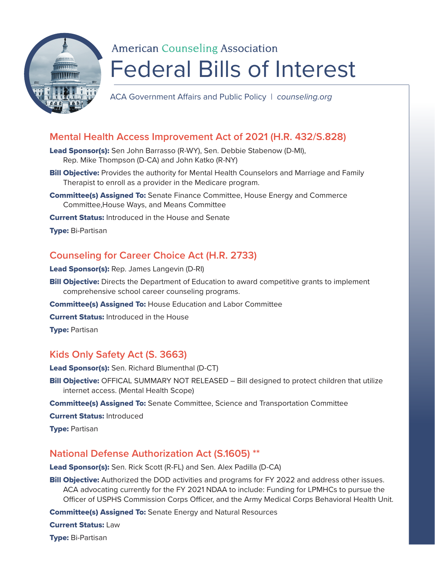

# **American Counseling Association** Federal Bills of Interest

ACA Government Affairs and Public Policy | *counseling.org*

# **Mental Health Access Improvement Act of 2021 (H.R. 432/S.828)**

- Lead Sponsor(s): Sen John Barrasso (R-WY), Sen. Debbie Stabenow (D-MI), Rep. Mike Thompson (D-CA) and John Katko (R-NY)
- **Bill Objective:** Provides the authority for Mental Health Counselors and Marriage and Family Therapist to enroll as a provider in the Medicare program.
- Committee(s) Assigned To: Senate Finance Committee, House Energy and Commerce Committee,House Ways, and Means Committee
- **Current Status:** Introduced in the House and Senate

Type: Bi-Partisan

# **Counseling for Career Choice Act (H.R. 2733)**

- Lead Sponsor(s): Rep. James Langevin (D-RI)
- **Bill Objective:** Directs the Department of Education to award competitive grants to implement comprehensive school career counseling programs.
- Committee(s) Assigned To: House Education and Labor Committee
- **Current Status: Introduced in the House**

**Type: Partisan** 

## **Kids Only Safety Act (S. 3663)**

- Lead Sponsor(s): Sen. Richard Blumenthal (D-CT)
- **Bill Objective:** OFFICAL SUMMARY NOT RELEASED Bill designed to protect children that utilize internet access. (Mental Health Scope)
- Committee(s) Assigned To: Senate Committee, Science and Transportation Committee

Current Status: Introduced

**Type: Partisan** 

## **National Defense Authorization Act (S.1605) \*\***

Lead Sponsor(s): Sen. Rick Scott (R-FL) and Sen. Alex Padilla (D-CA)

**Bill Objective:** Authorized the DOD activities and programs for FY 2022 and address other issues. ACA advocating currently for the FY 2021 NDAA to include: Funding for LPMHCs to pursue the Officer of USPHS Commission Corps Officer, and the Army Medical Corps Behavioral Health Unit.

Committee(s) Assigned To: Senate Energy and Natural Resources

Current Status: Law

Type: Bi-Partisan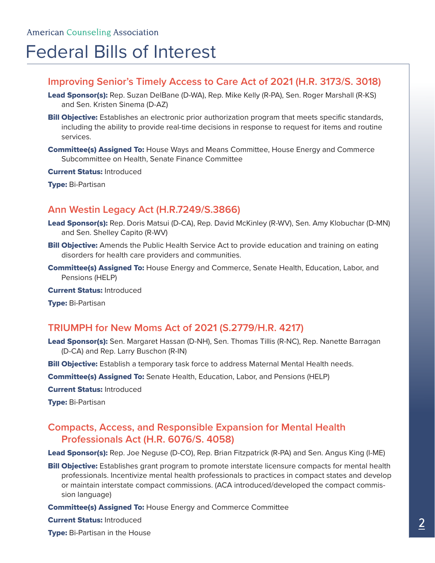# Federal Bills of Interest

### **Improving Senior's Timely Access to Care Act of 2021 (H.R. 3173/S. 3018)**

- Lead Sponsor(s): Rep. Suzan DelBane (D-WA), Rep. Mike Kelly (R-PA), Sen. Roger Marshall (R-KS) and Sen. Kristen Sinema (D-AZ)
- **Bill Objective:** Establishes an electronic prior authorization program that meets specific standards, including the ability to provide real-time decisions in response to request for items and routine services.
- **Committee(s) Assigned To:** House Ways and Means Committee, House Energy and Commerce Subcommittee on Health, Senate Finance Committee

Current Status: Introduced

**Type: Bi-Partisan** 

### **Ann Westin Legacy Act (H.R.7249/S.3866)**

- Lead Sponsor(s): Rep. Doris Matsui (D-CA), Rep. David McKinley (R-WV), Sen. Amy Klobuchar (D-MN) and Sen. Shelley Capito (R-WV)
- **Bill Objective:** Amends the Public Health Service Act to provide education and training on eating disorders for health care providers and communities.
- **Committee(s) Assigned To:** House Energy and Commerce, Senate Health, Education, Labor, and Pensions (HELP)

Current Status: Introduced

**Type: Bi-Partisan** 

## **TRIUMPH for New Moms Act of 2021 (S.2779/H.R. 4217)**

Lead Sponsor(s): Sen. Margaret Hassan (D-NH), Sen. Thomas Tillis (R-NC), Rep. Nanette Barragan (D-CA) and Rep. Larry Buschon (R-IN)

**Bill Objective:** Establish a temporary task force to address Maternal Mental Health needs.

**Committee(s) Assigned To:** Senate Health, Education, Labor, and Pensions (HELP)

Current Status: Introduced

**Type: Bi-Partisan** 

# **Compacts, Access, and Responsible Expansion for Mental Health Professionals Act (H.R. 6076/S. 4058)**

Lead Sponsor(s): Rep. Joe Neguse (D-CO), Rep. Brian Fitzpatrick (R-PA) and Sen. Angus King (I-ME)

- **Bill Objective:** Establishes grant program to promote interstate licensure compacts for mental health professionals. Incentivize mental health professionals to practices in compact states and develop or maintain interstate compact commissions. (ACA introduced/developed the compact commission language)
- **Committee(s) Assigned To: House Energy and Commerce Committee**

Current Status: Introduced

**Type:** Bi-Partisan in the House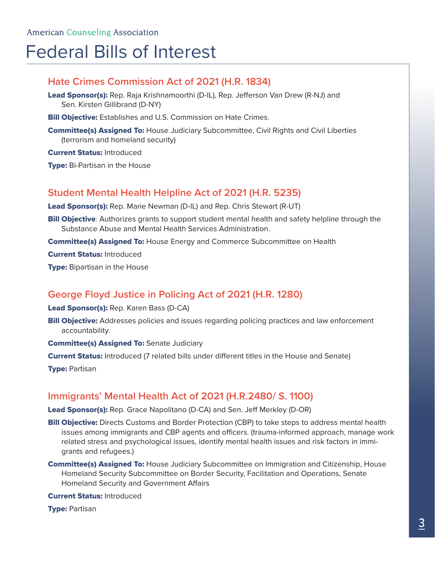# Federal Bills of Interest

# **Hate Crimes Commission Act of 2021 (H.R. 1834)**

- Lead Sponsor(s): Rep. Raja Krishnamoorthi (D-IL), Rep. Jefferson Van Drew (R-NJ) and Sen. Kirsten Gillibrand (D-NY)
- **Bill Objective:** Establishes and U.S. Commission on Hate Crimes.
- **Committee(s) Assigned To: House Judiciary Subcommittee, Civil Rights and Civil Liberties** (terrorism and homeland security)

Current Status: Introduced

**Type:** Bi-Partisan in the House

### **Student Mental Health Helpline Act of 2021 (H.R. 5235)**

Lead Sponsor(s): Rep. Marie Newman (D-IL) and Rep. Chris Stewart (R-UT)

**Bill Objective**: Authorizes grants to support student mental health and safety helpline through the Substance Abuse and Mental Health Services Administration.

**Committee(s) Assigned To: House Energy and Commerce Subcommittee on Health** 

Current Status: Introduced

**Type:** Bipartisan in the House

## **George Floyd Justice in Policing Act of 2021 (H.R. 1280)**

Lead Sponsor(s): Rep. Karen Bass (D-CA)

- **Bill Objective:** Addresses policies and issues regarding policing practices and law enforcement accountability.
- **Committee(s) Assigned To: Senate Judiciary**
- **Current Status:** Introduced (7 related bills under different titles in the House and Senate)

**Type: Partisan** 

## **Immigrants' Mental Health Act of 2021 (H.R.2480/ S. 1100)**

Lead Sponsor(s): Rep. Grace Napolitano (D-CA) and Sen. Jeff Merkley (D-OR)

- **Bill Objective:** Directs Customs and Border Protection (CBP) to take steps to address mental health issues among immigrants and CBP agents and officers. (trauma-informed approach, manage work related stress and psychological issues, identify mental health issues and risk factors in immigrants and refugees.)
- **Committee(s) Assigned To:** House Judiciary Subcommittee on Immigration and Citizenship, House Homeland Security Subcommittee on Border Security, Facilitation and Operations, Senate Homeland Security and Government Affairs

Current Status: Introduced

**Type: Partisan**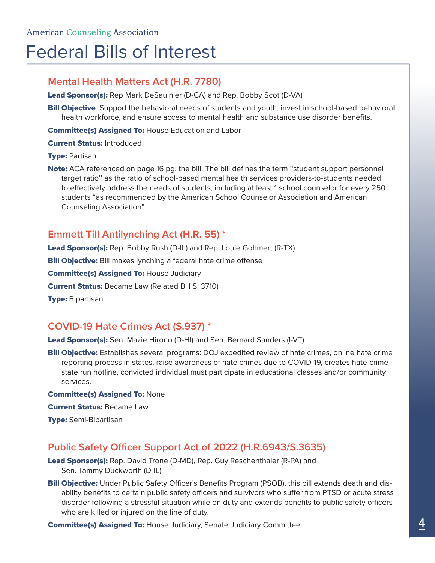# Federal Bills of Interest

## **Mental Health Matters Act (H.R. 7780)**

Lead Sponsor(s): Rep Mark DeSaulnier (D-CA) and Rep. Bobby Scot (D-VA)

**Bill Objective**: Support the behavioral needs of students and youth, invest in school-based behavioral health workforce, and ensure access to mental health and substance use disorder benefits.

**Committee(s) Assigned To: House Education and Labor** 

Current Status: Introduced

#### **Type: Partisan**

Note: ACA referenced on page 16 pg. the bill. The bill defines the term "student support personnel target ratio'' as the ratio of school-based mental health services providers-to-students needed to effectively address the needs of students, including at least 1 school counselor for every 250 students "as recommended by the American School Counselor Association and American Counseling Association"

### **Emmett Till Antilynching Act (H.R. 55) \***

Lead Sponsor(s): Rep. Bobby Rush (D-IL) and Rep. Louie Gohmert (R-TX)

**Bill Objective:** Bill makes lynching a federal hate crime offense

**Committee(s) Assigned To: House Judiciary** 

**Current Status:** Became Law (Related Bill S. 3710)

**Type: Bipartisan** 

## **COVID-19 Hate Crimes Act (S.937) \***

Lead Sponsor(s): Sen. Mazie Hirono (D-HI) and Sen. Bernard Sanders (I-VT)

**Bill Objective:** Establishes several programs: DOJ expedited review of hate crimes, online hate crime reporting process in states, raise awareness of hate crimes due to COVID-19, creates hate-crime state run hotline, convicted individual must participate in educational classes and/or community services.

#### **Committee(s) Assigned To: None**

**Current Status: Became Law** 

**Type:** Semi-Bipartisan

## **Public Safety Officer Support Act of 2022 (H.R.6943/S.3635)**

Lead Sponsor(s): Rep. David Trone (D-MD), Rep. Guy Reschenthaler (R-PA) and Sen. Tammy Duckworth (D-IL)

Bill Objective: Under Public Safety Officer's Benefits Program (PSOB), this bill extends death and disability benefits to certain public safety officers and survivors who suffer from PTSD or acute stress disorder following a stressful situation while on duty and extends benefits to public safety officers who are killed or injured on the line of duty.

**Committee(s) Assigned To: House Judiciary, Senate Judiciary Committee**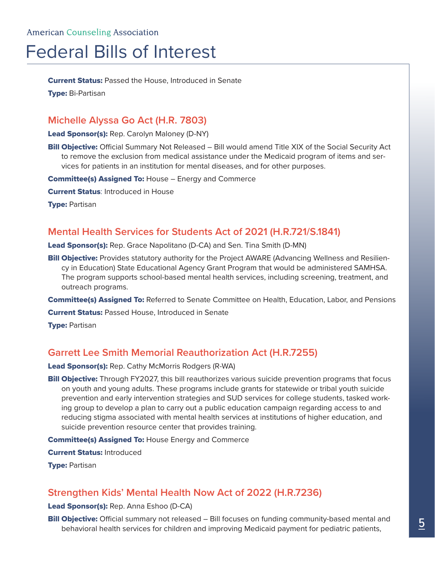# Federal Bills of Interest

**Current Status:** Passed the House, Introduced in Senate

**Type: Bi-Partisan** 

# **Michelle Alyssa Go Act (H.R. 7803)**

Lead Sponsor(s): Rep. Carolyn Maloney (D-NY)

**Bill Objective:** Official Summary Not Released – Bill would amend Title XIX of the Social Security Act to remove the exclusion from medical assistance under the Medicaid program of items and services for patients in an institution for mental diseases, and for other purposes.

**Committee(s) Assigned To: House - Energy and Commerce** 

**Current Status: Introduced in House** 

**Type: Partisan** 

# **Mental Health Services for Students Act of 2021 (H.R.721/S.1841)**

Lead Sponsor(s): Rep. Grace Napolitano (D-CA) and Sen. Tina Smith (D-MN)

Bill Objective: Provides statutory authority for the Project AWARE (Advancing Wellness and Resiliency in Education) State Educational Agency Grant Program that would be administered SAMHSA. The program supports school-based mental health services, including screening, treatment, and outreach programs.

**Committee(s) Assigned To:** Referred to Senate Committee on Health, Education, Labor, and Pensions

**Current Status: Passed House, Introduced in Senate** 

**Type: Partisan** 

# **Garrett Lee Smith Memorial Reauthorization Act (H.R.7255)**

Lead Sponsor(s): Rep. Cathy McMorris Rodgers (R-WA)

**Bill Objective:** Through FY2027, this bill reauthorizes various suicide prevention programs that focus on youth and young adults. These programs include grants for statewide or tribal youth suicide prevention and early intervention strategies and SUD services for college students, tasked working group to develop a plan to carry out a public education campaign regarding access to and reducing stigma associated with mental health services at institutions of higher education, and suicide prevention resource center that provides training.

**Committee(s) Assigned To: House Energy and Commerce** 

Current Status: Introduced

**Type: Partisan** 

# **Strengthen Kids' Mental Health Now Act of 2022 (H.R.7236)**

Lead Sponsor(s): Rep. Anna Eshoo (D-CA)

**Bill Objective:** Official summary not released – Bill focuses on funding community-based mental and behavioral health services for children and improving Medicaid payment for pediatric patients,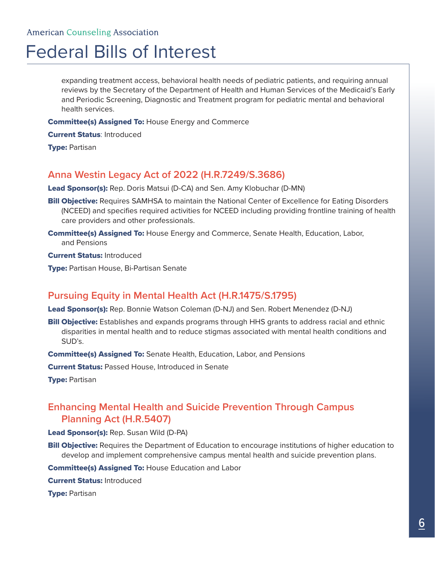# Federal Bills of Interest

expanding treatment access, behavioral health needs of pediatric patients, and requiring annual reviews by the Secretary of the Department of Health and Human Services of the Medicaid's Early and Periodic Screening, Diagnostic and Treatment program for pediatric mental and behavioral health services.

**Committee(s) Assigned To: House Energy and Commerce** 

**Current Status: Introduced** 

**Type: Partisan** 

## **Anna Westin Legacy Act of 2022 (H.R.7249/S.3686)**

Lead Sponsor(s): Rep. Doris Matsui (D-CA) and Sen. Amy Klobuchar (D-MN)

- **Bill Objective:** Requires SAMHSA to maintain the National Center of Excellence for Eating Disorders (NCEED) and specifies required activities for NCEED including providing frontline training of health care providers and other professionals.
- Committee(s) Assigned To: House Energy and Commerce, Senate Health, Education, Labor, and Pensions

**Current Status: Introduced** 

**Type: Partisan House, Bi-Partisan Senate** 

# **Pursuing Equity in Mental Health Act (H.R.1475/S.1795)**

Lead Sponsor(s): Rep. Bonnie Watson Coleman (D-NJ) and Sen. Robert Menendez (D-NJ)

**Bill Objective:** Establishes and expands programs through HHS grants to address racial and ethnic disparities in mental health and to reduce stigmas associated with mental health conditions and SUD's.

**Committee(s) Assigned To:** Senate Health, Education, Labor, and Pensions

**Current Status: Passed House, Introduced in Senate** 

**Type: Partisan** 

# **Enhancing Mental Health and Suicide Prevention Through Campus Planning Act (H.R.5407)**

Lead Sponsor(s): Rep. Susan Wild (D-PA)

**Bill Objective:** Requires the Department of Education to encourage institutions of higher education to develop and implement comprehensive campus mental health and suicide prevention plans.

**Committee(s) Assigned To: House Education and Labor** 

Current Status: Introduced

**Type: Partisan**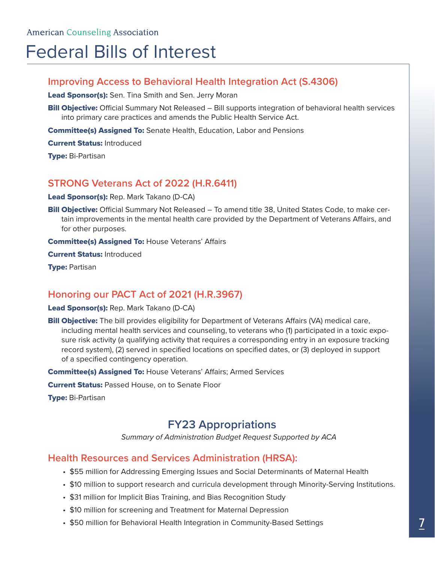# Federal Bills of Interest

### **Improving Access to Behavioral Health Integration Act (S.4306)**

Lead Sponsor(s): Sen. Tina Smith and Sen. Jerry Moran

**Bill Objective:** Official Summary Not Released – Bill supports integration of behavioral health services into primary care practices and amends the Public Health Service Act.

**Committee(s) Assigned To:** Senate Health, Education, Labor and Pensions

Current Status: Introduced

**Type: Bi-Partisan** 

# **STRONG Veterans Act of 2022 (H.R.6411)**

Lead Sponsor(s): Rep. Mark Takano (D-CA)

Bill Objective: Official Summary Not Released - To amend title 38, United States Code, to make certain improvements in the mental health care provided by the Department of Veterans Affairs, and for other purposes.

**Committee(s) Assigned To: House Veterans' Affairs** 

Current Status: Introduced

**Type: Partisan** 

## **Honoring our PACT Act of 2021 (H.R.3967)**

#### Lead Sponsor(s): Rep. Mark Takano (D-CA)

**Bill Objective:** The bill provides eligibility for Department of Veterans Affairs (VA) medical care, including mental health services and counseling, to veterans who (1) participated in a toxic exposure risk activity (a qualifying activity that requires a corresponding entry in an exposure tracking record system), (2) served in specified locations on specified dates, or (3) deployed in support of a specified contingency operation.

**Committee(s) Assigned To: House Veterans' Affairs; Armed Services** 

**Current Status: Passed House, on to Senate Floor** 

**Type: Bi-Partisan** 

# **FY23 Appropriations**

*Summary of Administration Budget Request Supported by ACA*

### **Health Resources and Services Administration (HRSA):**

- \$55 million for Addressing Emerging Issues and Social Determinants of Maternal Health
- \$10 million to support research and curricula development through Minority-Serving Institutions.
- \$31 million for Implicit Bias Training, and Bias Recognition Study
- \$10 million for screening and Treatment for Maternal Depression
- \$50 million for Behavioral Health Integration in Community-Based Settings